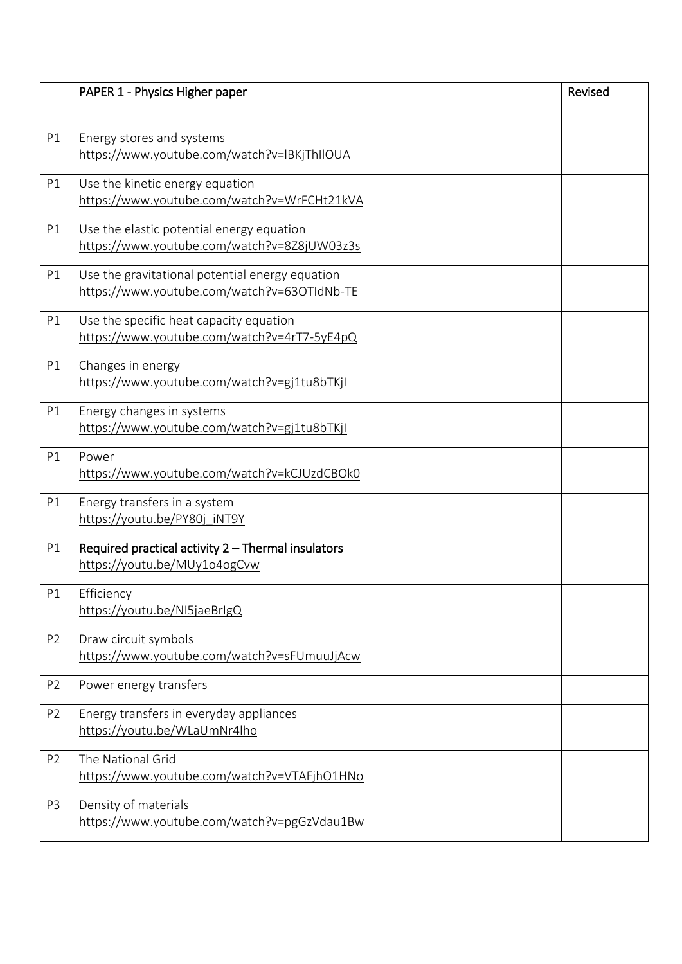|                | PAPER 1 - Physics Higher paper                                                           | Revised |
|----------------|------------------------------------------------------------------------------------------|---------|
|                |                                                                                          |         |
| P1             | Energy stores and systems                                                                |         |
|                | https://www.youtube.com/watch?v=lBKjThIlOUA                                              |         |
| P1             | Use the kinetic energy equation                                                          |         |
|                | https://www.youtube.com/watch?v=WrFCHt21kVA                                              |         |
|                |                                                                                          |         |
| P1             | Use the elastic potential energy equation<br>https://www.youtube.com/watch?v=8Z8jUW03z3s |         |
|                |                                                                                          |         |
| P1             | Use the gravitational potential energy equation                                          |         |
|                | https://www.youtube.com/watch?v=63OTIdNb-TE                                              |         |
| P1             | Use the specific heat capacity equation                                                  |         |
|                | https://www.youtube.com/watch?v=4rT7-5yE4pQ                                              |         |
| P1             | Changes in energy                                                                        |         |
|                | https://www.youtube.com/watch?v=gj1tu8bTKjl                                              |         |
| P1             | Energy changes in systems                                                                |         |
|                | https://www.youtube.com/watch?v=gj1tu8bTKjI                                              |         |
| P1             | Power                                                                                    |         |
|                | https://www.youtube.com/watch?v=kCJUzdCBOk0                                              |         |
|                |                                                                                          |         |
| P1             | Energy transfers in a system                                                             |         |
|                | https://youtu.be/PY80j iNT9Y                                                             |         |
| P1             | Required practical activity 2 - Thermal insulators                                       |         |
|                | https://youtu.be/MUy1o4ogCvw                                                             |         |
| P1             | Efficiency                                                                               |         |
|                | https://youtu.be/NI5jaeBrIgQ                                                             |         |
| P <sub>2</sub> | Draw circuit symbols                                                                     |         |
|                | https://www.youtube.com/watch?v=sFUmuuJjAcw                                              |         |
| P <sub>2</sub> | Power energy transfers                                                                   |         |
|                |                                                                                          |         |
| P <sub>2</sub> | Energy transfers in everyday appliances                                                  |         |
|                | https://youtu.be/WLaUmNr4lho                                                             |         |
| P <sub>2</sub> | The National Grid                                                                        |         |
|                | https://www.youtube.com/watch?v=VTAFjhO1HNo                                              |         |
| P <sub>3</sub> | Density of materials                                                                     |         |
|                | https://www.youtube.com/watch?v=pgGzVdau1Bw                                              |         |
|                |                                                                                          |         |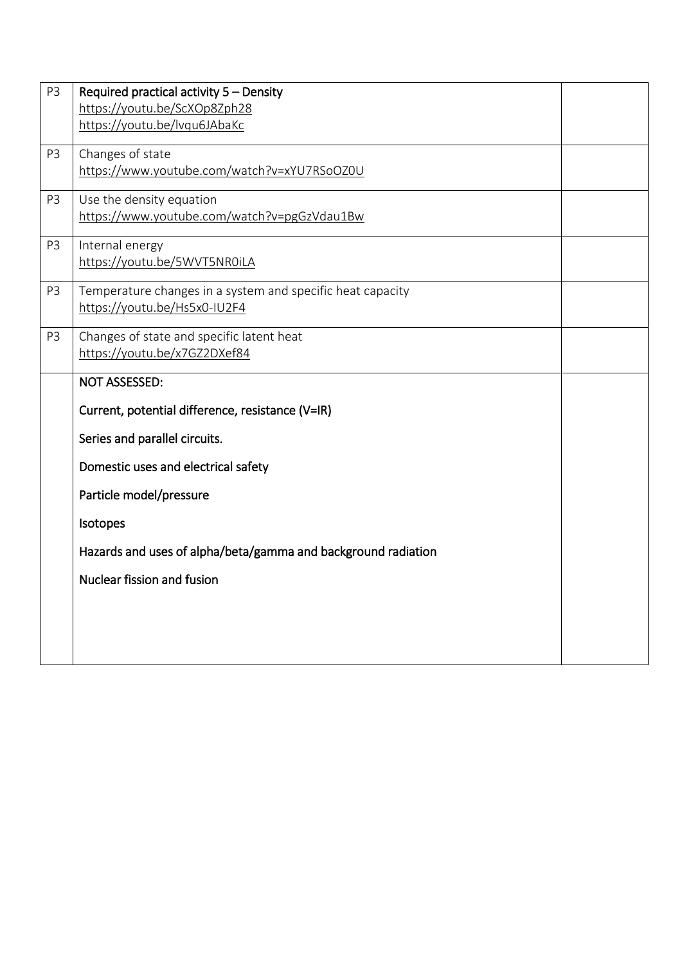| P <sub>3</sub> | Required practical activity 5 - Density                       |  |
|----------------|---------------------------------------------------------------|--|
|                | https://youtu.be/ScXOp8Zph28                                  |  |
|                | https://youtu.be/lvqu6JAbaKc                                  |  |
| P <sub>3</sub> | Changes of state                                              |  |
|                | https://www.youtube.com/watch?v=xYU7RSoOZ0U                   |  |
|                |                                                               |  |
| P <sub>3</sub> | Use the density equation                                      |  |
|                | https://www.youtube.com/watch?v=pgGzVdau1Bw                   |  |
| P3             | Internal energy                                               |  |
|                | https://youtu.be/5WVT5NR0iLA                                  |  |
| P3             | Temperature changes in a system and specific heat capacity    |  |
|                | https://youtu.be/Hs5x0-IU2F4                                  |  |
|                |                                                               |  |
| P3             | Changes of state and specific latent heat                     |  |
|                | https://youtu.be/x7GZ2DXef84                                  |  |
|                | <b>NOT ASSESSED:</b>                                          |  |
|                | Current, potential difference, resistance (V=IR)              |  |
|                | Series and parallel circuits.                                 |  |
|                | Domestic uses and electrical safety                           |  |
|                | Particle model/pressure                                       |  |
|                | Isotopes                                                      |  |
|                | Hazards and uses of alpha/beta/gamma and background radiation |  |
|                | Nuclear fission and fusion                                    |  |
|                |                                                               |  |
|                |                                                               |  |
|                |                                                               |  |
|                |                                                               |  |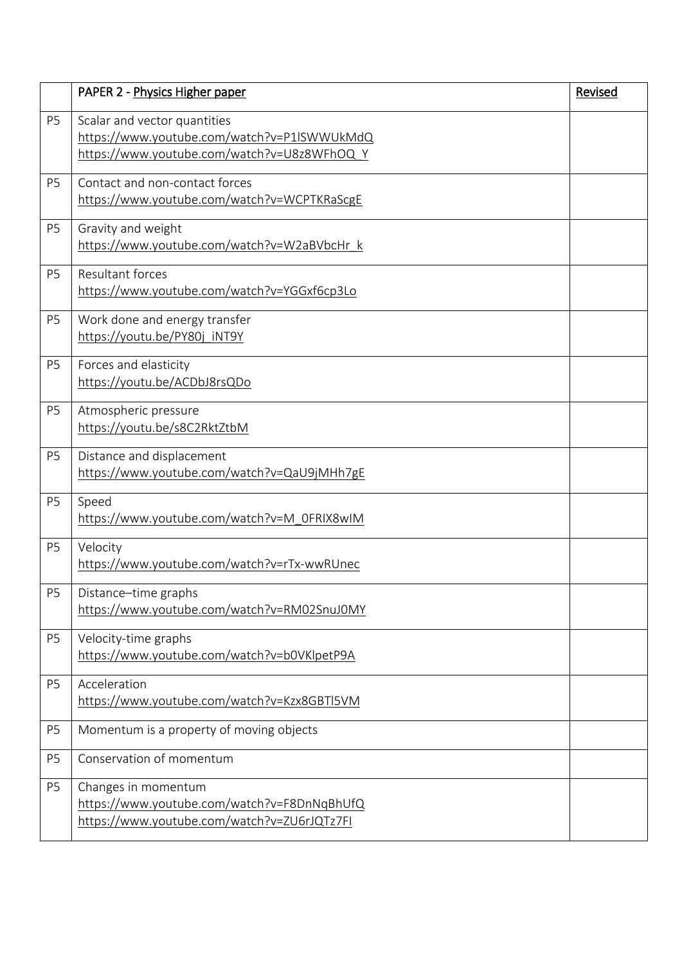|                | PAPER 2 - Physics Higher paper                                                                                            | Revised |
|----------------|---------------------------------------------------------------------------------------------------------------------------|---------|
| P <sub>5</sub> | Scalar and vector quantities<br>https://www.youtube.com/watch?v=P1lSWWUkMdQ<br>https://www.youtube.com/watch?v=U8z8WFhOQY |         |
| P <sub>5</sub> | Contact and non-contact forces<br>https://www.youtube.com/watch?v=WCPTKRaScgE                                             |         |
| P <sub>5</sub> | Gravity and weight<br>https://www.youtube.com/watch?v=W2aBVbcHr k                                                         |         |
| P <sub>5</sub> | <b>Resultant forces</b><br>https://www.youtube.com/watch?v=YGGxf6cp3Lo                                                    |         |
| P <sub>5</sub> | Work done and energy transfer<br>https://youtu.be/PY80j iNT9Y                                                             |         |
| P <sub>5</sub> | Forces and elasticity<br>https://youtu.be/ACDbJ8rsQDo                                                                     |         |
| P <sub>5</sub> | Atmospheric pressure<br>https://youtu.be/s8C2RktZtbM                                                                      |         |
| P <sub>5</sub> | Distance and displacement<br>https://www.youtube.com/watch?v=QaU9jMHh7gE                                                  |         |
| P <sub>5</sub> | Speed<br>https://www.youtube.com/watch?v=M_0FRIX8wIM                                                                      |         |
| P <sub>5</sub> | Velocity<br>https://www.youtube.com/watch?v=rTx-wwRUnec                                                                   |         |
| P <sub>5</sub> | Distance-time graphs<br>https://www.youtube.com/watch?v=RM02SnuJ0MY                                                       |         |
| P <sub>5</sub> | Velocity-time graphs<br>https://www.youtube.com/watch?v=b0VKlpetP9A                                                       |         |
| P <sub>5</sub> | Acceleration<br>https://www.youtube.com/watch?v=Kzx8GBTl5VM                                                               |         |
| P <sub>5</sub> | Momentum is a property of moving objects                                                                                  |         |
| P <sub>5</sub> | Conservation of momentum                                                                                                  |         |
| P <sub>5</sub> | Changes in momentum<br>https://www.youtube.com/watch?v=F8DnNqBhUfQ<br>https://www.youtube.com/watch?v=ZU6rJQTz7FI         |         |